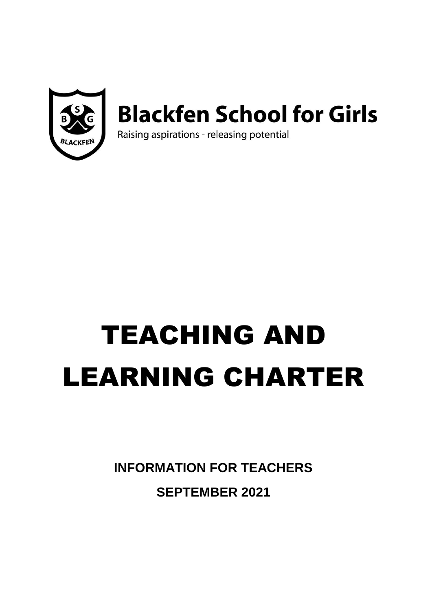

## **Blackfen School for Girls**

Raising aspirations - releasing potential

# TEACHING AND LEARNING CHARTER

**INFORMATION FOR TEACHERS SEPTEMBER 2021**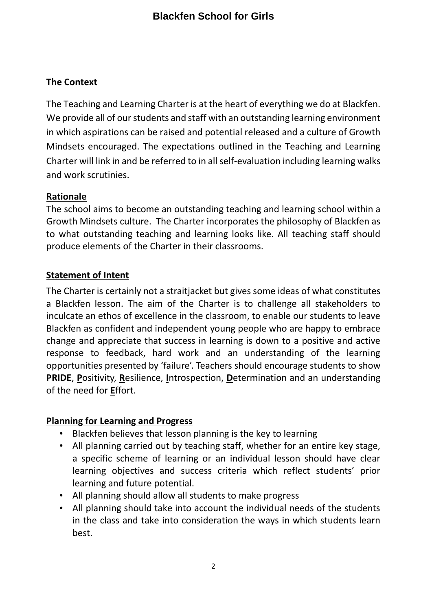## **The Context**

The Teaching and Learning Charter is at the heart of everything we do at Blackfen. We provide all of our students and staff with an outstanding learning environment in which aspirations can be raised and potential released and a culture of Growth Mindsets encouraged. The expectations outlined in the Teaching and Learning Charter will link in and be referred to in all self-evaluation including learning walks and work scrutinies.

## **Rationale**

The school aims to become an outstanding teaching and learning school within a Growth Mindsets culture. The Charter incorporates the philosophy of Blackfen as to what outstanding teaching and learning looks like. All teaching staff should produce elements of the Charter in their classrooms.

## **Statement of Intent**

The Charter is certainly not a straitjacket but gives some ideas of what constitutes a Blackfen lesson. The aim of the Charter is to challenge all stakeholders to inculcate an ethos of excellence in the classroom, to enable our students to leave Blackfen as confident and independent young people who are happy to embrace change and appreciate that success in learning is down to a positive and active response to feedback, hard work and an understanding of the learning opportunities presented by 'failure'. Teachers should encourage students to show **PRIDE**, **P**ositivity, **R**esilience, **I**ntrospection, **D**etermination and an understanding of the need for **E**ffort.

#### **Planning for Learning and Progress**

- Blackfen believes that lesson planning is the key to learning
- All planning carried out by teaching staff, whether for an entire key stage, a specific scheme of learning or an individual lesson should have clear learning objectives and success criteria which reflect students' prior learning and future potential.
- All planning should allow all students to make progress
- All planning should take into account the individual needs of the students in the class and take into consideration the ways in which students learn best.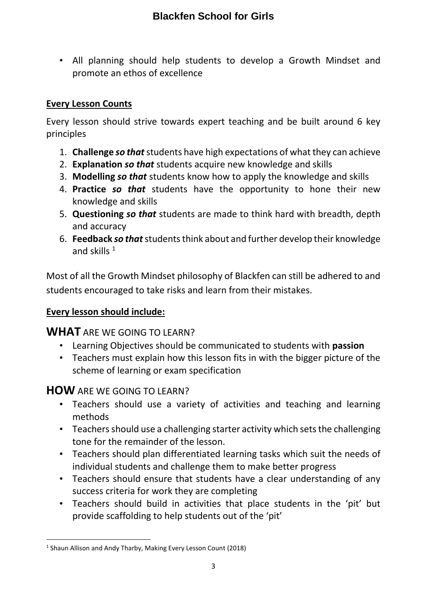• All planning should help students to develop a Growth Mindset and promote an ethos of excellence

## **Every Lesson Counts**

Every lesson should strive towards expert teaching and be built around 6 key principles

- 1. **Challenge** *so that* students have high expectations of what they can achieve
- 2. **Explanation** *so that* students acquire new knowledge and skills
- 3. **Modelling** *so that* students know how to apply the knowledge and skills
- 4. **Practice** *so that* students have the opportunity to hone their new knowledge and skills
- 5. **Questioning** *so that* students are made to think hard with breadth, depth and accuracy
- 6. **Feedback** *so that* students think about and further develop their knowledge and skills  $1$

Most of all the Growth Mindset philosophy of Blackfen can still be adhered to and students encouraged to take risks and learn from their mistakes.

## **Every lesson should include:**

## **WHAT** ARE WE GOING TO LEARN?

- Learning Objectives should be communicated to students with **passion**
- Teachers must explain how this lesson fits in with the bigger picture of the scheme of learning or exam specification

## **HOW** ARE WE GOING TO LEARN?

- Teachers should use a variety of activities and teaching and learning methods
- Teachers should use a challenging starter activity which sets the challenging tone for the remainder of the lesson.
- Teachers should plan differentiated learning tasks which suit the needs of individual students and challenge them to make better progress
- Teachers should ensure that students have a clear understanding of any success criteria for work they are completing
- Teachers should build in activities that place students in the 'pit' but provide scaffolding to help students out of the 'pit'

 $\overline{a}$ <sup>1</sup> Shaun Allison and Andy Tharby, Making Every Lesson Count (2018)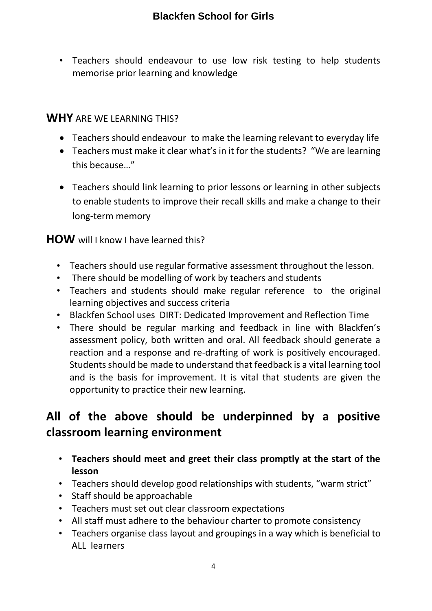• Teachers should endeavour to use low risk testing to help students memorise prior learning and knowledge

## **WHY** ARE WE LEARNING THIS?

- Teachers should endeavour to make the learning relevant to everyday life
- Teachers must make it clear what's in it for the students? "We are learning this because…"
- Teachers should link learning to prior lessons or learning in other subjects to enable students to improve their recall skills and make a change to their long-term memory

## **HOW** will I know I have learned this?

- Teachers should use regular formative assessment throughout the lesson.
- There should be modelling of work by teachers and students
- Teachers and students should make regular reference to the original learning objectives and success criteria
- Blackfen School uses DIRT: Dedicated Improvement and Reflection Time
- There should be regular marking and feedback in line with Blackfen's assessment policy, both written and oral. All feedback should generate a reaction and a response and re-drafting of work is positively encouraged. Students should be made to understand that feedback is a vital learning tool and is the basis for improvement. It is vital that students are given the opportunity to practice their new learning.

## **All of the above should be underpinned by a positive classroom learning environment**

- **Teachers should meet and greet their class promptly at the start of the lesson**
- Teachers should develop good relationships with students, "warm strict"
- Staff should be approachable
- Teachers must set out clear classroom expectations
- All staff must adhere to the behaviour charter to promote consistency
- Teachers organise class layout and groupings in a way which is beneficial to ALL learners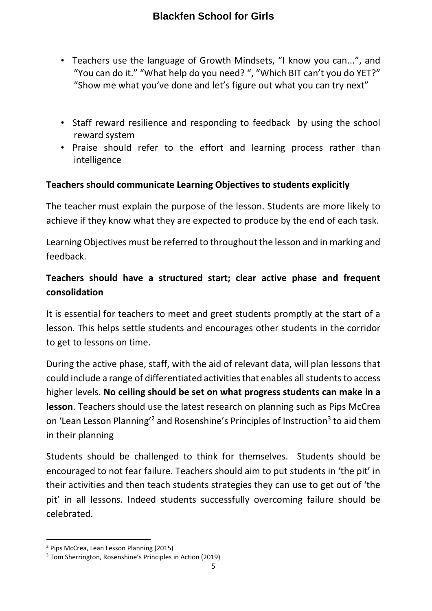- Teachers use the language of Growth Mindsets, "I know you can...", and "You can do it." "What help do you need? ", "Which BIT can't you do YET?" "Show me what you've done and let's figure out what you can try next"
- Staff reward resilience and responding to feedback by using the school reward system
- Praise should refer to the effort and learning process rather than intelligence

## **Teachers should communicate Learning Objectives to students explicitly**

The teacher must explain the purpose of the lesson. Students are more likely to achieve if they know what they are expected to produce by the end of each task.

Learning Objectives must be referred to throughout the lesson and in marking and feedback.

## **Teachers should have a structured start; clear active phase and frequent consolidation**

It is essential for teachers to meet and greet students promptly at the start of a lesson. This helps settle students and encourages other students in the corridor to get to lessons on time.

During the active phase, staff, with the aid of relevant data, will plan lessons that could include a range of differentiated activities that enables all students to access higher levels. **No ceiling should be set on what progress students can make in a lesson**. Teachers should use the latest research on planning such as Pips McCrea on 'Lean Lesson Planning'<sup>2</sup> and Rosenshine's Principles of Instruction<sup>3</sup> to aid them in their planning

Students should be challenged to think for themselves. Students should be encouraged to not fear failure. Teachers should aim to put students in 'the pit' in their activities and then teach students strategies they can use to get out of 'the pit' in all lessons. Indeed students successfully overcoming failure should be celebrated.

 $\overline{a}$ 

<sup>2</sup> Pips McCrea, Lean Lesson Planning (2015)

<sup>3</sup> Tom Sherrington, Rosenshine's Principles in Action (2019)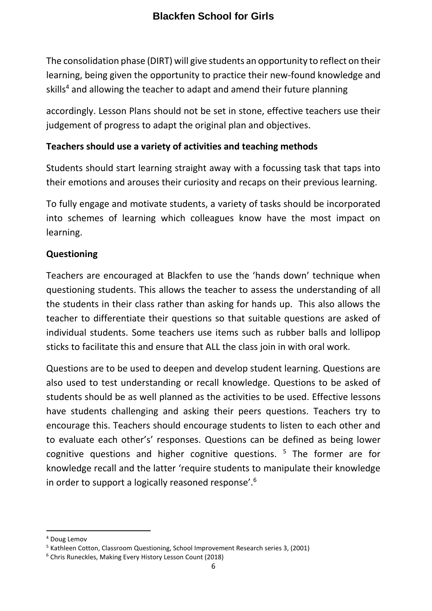The consolidation phase (DIRT) will give students an opportunity to reflect on their learning, being given the opportunity to practice their new-found knowledge and skills<sup>4</sup> and allowing the teacher to adapt and amend their future planning

accordingly. Lesson Plans should not be set in stone, effective teachers use their judgement of progress to adapt the original plan and objectives.

## **Teachers should use a variety of activities and teaching methods**

Students should start learning straight away with a focussing task that taps into their emotions and arouses their curiosity and recaps on their previous learning.

To fully engage and motivate students, a variety of tasks should be incorporated into schemes of learning which colleagues know have the most impact on learning.

## **Questioning**

Teachers are encouraged at Blackfen to use the 'hands down' technique when questioning students. This allows the teacher to assess the understanding of all the students in their class rather than asking for hands up. This also allows the teacher to differentiate their questions so that suitable questions are asked of individual students. Some teachers use items such as rubber balls and lollipop sticks to facilitate this and ensure that ALL the class join in with oral work.

Questions are to be used to deepen and develop student learning. Questions are also used to test understanding or recall knowledge. Questions to be asked of students should be as well planned as the activities to be used. Effective lessons have students challenging and asking their peers questions. Teachers try to encourage this. Teachers should encourage students to listen to each other and to evaluate each other's' responses. Questions can be defined as being lower cognitive questions and higher cognitive questions.  $5$  The former are for knowledge recall and the latter 'require students to manipulate their knowledge in order to support a logically reasoned response'.<sup>6</sup>

 $\overline{\phantom{a}}$ 

<sup>4</sup> Doug Lemov

<sup>&</sup>lt;sup>5</sup> Kathleen Cotton, Classroom Questioning, School Improvement Research series 3, (2001)

<sup>6</sup> Chris Runeckles, Making Every History Lesson Count (2018)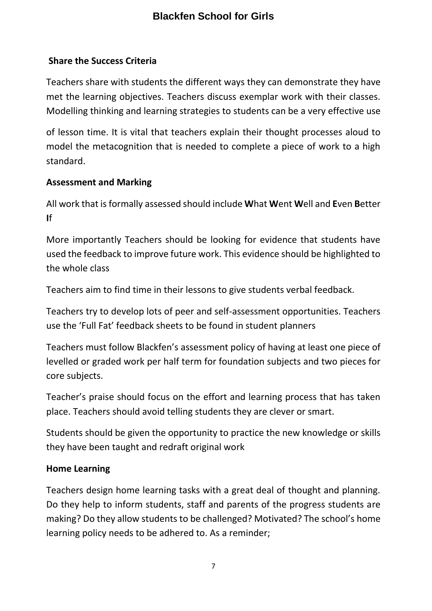## **Share the Success Criteria**

Teachers share with students the different ways they can demonstrate they have met the learning objectives. Teachers discuss exemplar work with their classes. Modelling thinking and learning strategies to students can be a very effective use

of lesson time. It is vital that teachers explain their thought processes aloud to model the metacognition that is needed to complete a piece of work to a high standard.

## **Assessment and Marking**

All work that isformally assessed should include **W**hat **W**ent **W**ell and **E**ven **B**etter **I**f

More importantly Teachers should be looking for evidence that students have used the feedback to improve future work. This evidence should be highlighted to the whole class

Teachers aim to find time in their lessons to give students verbal feedback.

Teachers try to develop lots of peer and self-assessment opportunities. Teachers use the 'Full Fat' feedback sheets to be found in student planners

Teachers must follow Blackfen's assessment policy of having at least one piece of levelled or graded work per half term for foundation subjects and two pieces for core subjects.

Teacher's praise should focus on the effort and learning process that has taken place. Teachers should avoid telling students they are clever or smart.

Students should be given the opportunity to practice the new knowledge or skills they have been taught and redraft original work

## **Home Learning**

Teachers design home learning tasks with a great deal of thought and planning. Do they help to inform students, staff and parents of the progress students are making? Do they allow students to be challenged? Motivated? The school's home learning policy needs to be adhered to. As a reminder;